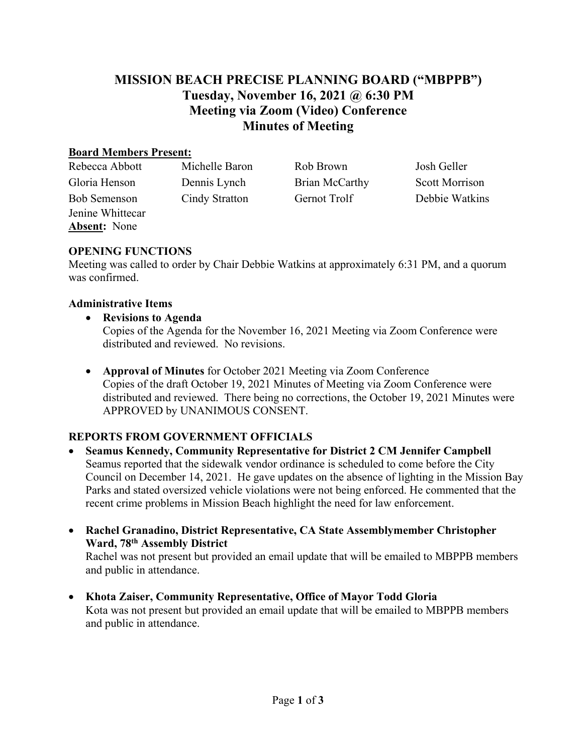# **MISSION BEACH PRECISE PLANNING BOARD ("MBPPB") Tuesday, November 16, 2021 @ 6:30 PM Meeting via Zoom (Video) Conference Minutes of Meeting**

### **Board Members Present:**

| Rebecca Abbott      | Michelle Baron | Rob Brown      | Josh Geller           |
|---------------------|----------------|----------------|-----------------------|
| Gloria Henson       | Dennis Lynch   | Brian McCarthy | <b>Scott Morrison</b> |
| <b>Bob Semenson</b> | Cindy Stratton | Gernot Trolf   | Debbie Watkins        |
| Jenine Whittecar    |                |                |                       |
| <b>Absent:</b> None |                |                |                       |
|                     |                |                |                       |

### **OPENING FUNCTIONS**

Meeting was called to order by Chair Debbie Watkins at approximately 6:31 PM, and a quorum was confirmed.

### **Administrative Items**

- **Revisions to Agenda**  Copies of the Agenda for the November 16, 2021 Meeting via Zoom Conference were distributed and reviewed. No revisions.
- **Approval of Minutes** for October 2021 Meeting via Zoom Conference Copies of the draft October 19, 2021 Minutes of Meeting via Zoom Conference were distributed and reviewed. There being no corrections, the October 19, 2021 Minutes were APPROVED by UNANIMOUS CONSENT.

## **REPORTS FROM GOVERNMENT OFFICIALS**

- **Seamus Kennedy, Community Representative for District 2 CM Jennifer Campbell** Seamus reported that the sidewalk vendor ordinance is scheduled to come before the City Council on December 14, 2021. He gave updates on the absence of lighting in the Mission Bay Parks and stated oversized vehicle violations were not being enforced. He commented that the recent crime problems in Mission Beach highlight the need for law enforcement.
- **Rachel Granadino, District Representative, CA State Assemblymember Christopher Ward, 78th Assembly District**

Rachel was not present but provided an email update that will be emailed to MBPPB members and public in attendance.

• **Khota Zaiser, Community Representative, Office of Mayor Todd Gloria**  Kota was not present but provided an email update that will be emailed to MBPPB members and public in attendance.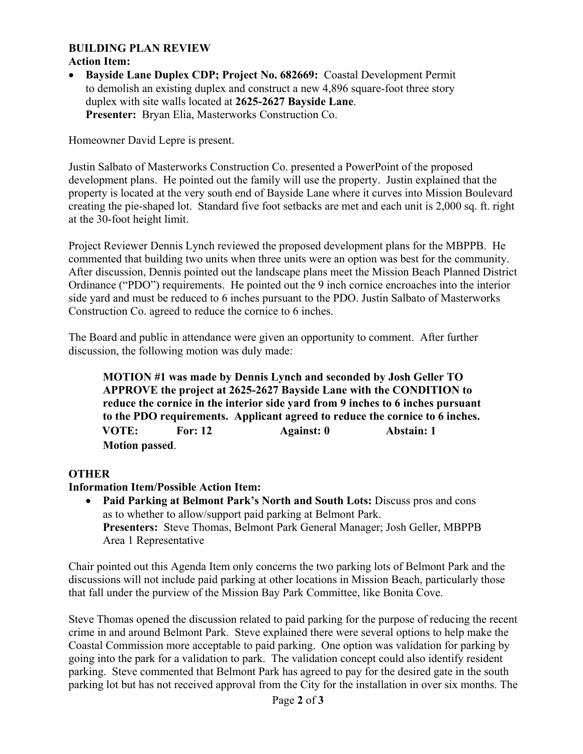#### **BUILDING PLAN REVIEW Action Item:**

• **Bayside Lane Duplex CDP; Project No. 682669:** Coastal Development Permit to demolish an existing duplex and construct a new 4,896 square-foot three story duplex with site walls located at **2625-2627 Bayside Lane**. **Presenter:** Bryan Elia, Masterworks Construction Co.

Homeowner David Lepre is present.

Justin Salbato of Masterworks Construction Co. presented a PowerPoint of the proposed development plans. He pointed out the family will use the property. Justin explained that the property is located at the very south end of Bayside Lane where it curves into Mission Boulevard creating the pie-shaped lot. Standard five foot setbacks are met and each unit is 2,000 sq. ft. right at the 30-foot height limit.

Project Reviewer Dennis Lynch reviewed the proposed development plans for the MBPPB. He commented that building two units when three units were an option was best for the community. After discussion, Dennis pointed out the landscape plans meet the Mission Beach Planned District Ordinance ("PDO") requirements. He pointed out the 9 inch cornice encroaches into the interior side yard and must be reduced to 6 inches pursuant to the PDO. Justin Salbato of Masterworks Construction Co. agreed to reduce the cornice to 6 inches.

The Board and public in attendance were given an opportunity to comment. After further discussion, the following motion was duly made:

**MOTION #1 was made by Dennis Lynch and seconded by Josh Geller TO APPROVE the project at 2625-2627 Bayside Lane with the CONDITION to reduce the cornice in the interior side yard from 9 inches to 6 inches pursuant to the PDO requirements. Applicant agreed to reduce the cornice to 6 inches. VOTE: For: 12 Against: 0 Abstain: 1 Motion passed**.

## **OTHER**

### **Information Item/Possible Action Item:**

• **Paid Parking at Belmont Park's North and South Lots:** Discuss pros and cons as to whether to allow/support paid parking at Belmont Park. **Presenters:** Steve Thomas, Belmont Park General Manager; Josh Geller, MBPPB Area 1 Representative

Chair pointed out this Agenda Item only concerns the two parking lots of Belmont Park and the discussions will not include paid parking at other locations in Mission Beach, particularly those that fall under the purview of the Mission Bay Park Committee, like Bonita Cove.

Steve Thomas opened the discussion related to paid parking for the purpose of reducing the recent crime in and around Belmont Park. Steve explained there were several options to help make the Coastal Commission more acceptable to paid parking. One option was validation for parking by going into the park for a validation to park. The validation concept could also identify resident parking. Steve commented that Belmont Park has agreed to pay for the desired gate in the south parking lot but has not received approval from the City for the installation in over six months. The